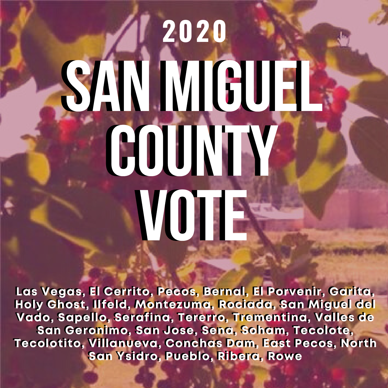# SAN MGUEL county. vote vote **2020** SAN MGUEL

Las Vegas, El Cerrito, Pecos, Bernal, El Porvenir, Garita, Las Vegas, El Cerrito, Pecos, Bernal, El Porvenir, Garita, Holy Ghost, Ilfeld, Montezuma, Rociada, San Miguel del Holy Ghost, Ilfeld, Montezuma, Rociada, San Miguel del Vado, Sapello, Serafina, Tererro, Trementina, Valles de Vado, Sapello, Serafina, Tererro, Trementina, Valles de San Geronimo, San Jose, Sena, Soham, Tecolote, San Geronimo, San Jose, Sena, Soham, Tecolote, Tecolotito, Villanueva, Conchas Dam, East Pecos, North Tecolotito, Villanueva, Conchas Dam, East Pecos, North San Ysidro, Pueblo, Ribera, Rowe San Ysidro, Pueblo, Ribera, Rowe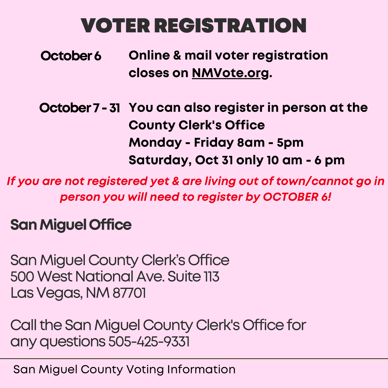# VOTERREGISTRATION

- Online & mail voter registration closes on NMVote.org. October 6
- October 7 31 You can also register in person at the County Clerk's Office Monday - Friday 8am - 5pm Saturday, Oct 31 only 10 am - 6 pm

If you are not registered yet & are living out of town/cannot go in person you will need to register by OCTOBER 6!

### SanMiguelOffice

San Miguel County Clerk's Office 500 West National Ave. Suite 113 Las Vegas, NM 87701

Call the San Miguel County Clerk's Office for anyquestions 505-425-9331

San Miguel County Voting Information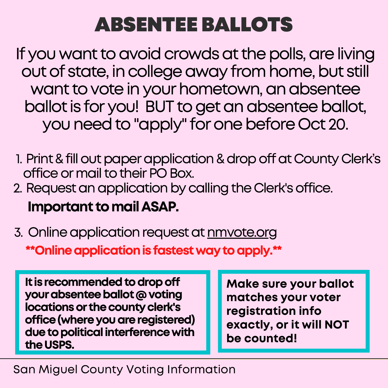## ABSENTEE BALLOTS

If you want to avoid crowds at the polls, are living out of state, in college away from home, but still want to vote in your hometown, an absentee ballot is for you! BUT to get an absentee ballot, you need to "apply" for one before Oct 20.

- 1. Print & fill out paper application & drop off at County Clerk's office or mail to their PO Box.
- 2. Request an application by calling the Clerk's office.

Important tomailASAP.

3. Online application request at <u>nmvote.org</u> \*\*Online application is fastest way to apply.\*\*

It is recommended to drop off your absentee ballot @ voting locations or the county clerk's office (where you are registered) due to political interference with the USPS.

Make sure your ballot matches your voter registration info exactly, or it will NOT be counted!

#### San Miguel County Voting Information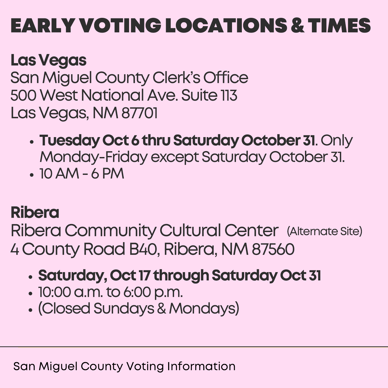# EARLY VOTING LOCATIONS&TIMES

## LasVegas

San Miguel County Clerk's Office 500 West National Ave. Suite 113 Las Vegas, NM 87701

- Tuesday Oct 6 thru Saturday October 31. Only Monday-Friday except Saturday October 31.
- $\bullet$  10 AM 6 PM

## Ribera

Ribera Community Cultural Center (Alternate Site) 4 County Road B40, Ribera, NM 87560

## • Saturday, Oct 17 through Saturday Oct 31

- 10:00 a.m. to 6:00 p.m.
- (Closed Sundays & Mondays)

San Miguel County Voting Information